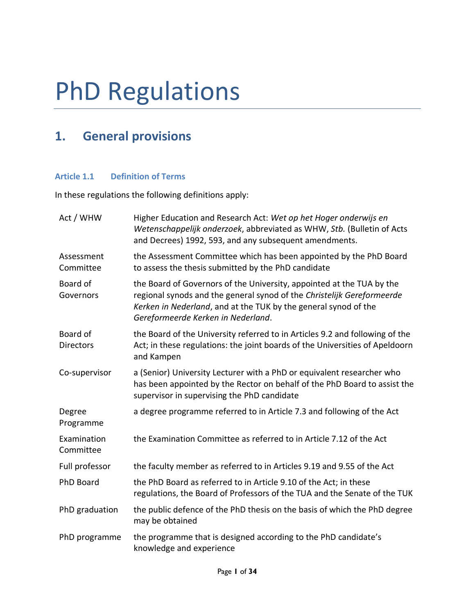# PhD Regulations

# **1. General provisions**

# **Article 1.1 Definition of Terms**

In these regulations the following definitions apply:

| Act / WHW                    | Higher Education and Research Act: Wet op het Hoger onderwijs en<br>Wetenschappelijk onderzoek, abbreviated as WHW, Stb. (Bulletin of Acts<br>and Decrees) 1992, 593, and any subsequent amendments.                                                     |  |
|------------------------------|----------------------------------------------------------------------------------------------------------------------------------------------------------------------------------------------------------------------------------------------------------|--|
| Assessment<br>Committee      | the Assessment Committee which has been appointed by the PhD Board<br>to assess the thesis submitted by the PhD candidate                                                                                                                                |  |
| Board of<br>Governors        | the Board of Governors of the University, appointed at the TUA by the<br>regional synods and the general synod of the Christelijk Gereformeerde<br>Kerken in Nederland, and at the TUK by the general synod of the<br>Gereformeerde Kerken in Nederland. |  |
| Board of<br><b>Directors</b> | the Board of the University referred to in Articles 9.2 and following of the<br>Act; in these regulations: the joint boards of the Universities of Apeldoorn<br>and Kampen                                                                               |  |
| Co-supervisor                | a (Senior) University Lecturer with a PhD or equivalent researcher who<br>has been appointed by the Rector on behalf of the PhD Board to assist the<br>supervisor in supervising the PhD candidate                                                       |  |
| Degree<br>Programme          | a degree programme referred to in Article 7.3 and following of the Act                                                                                                                                                                                   |  |
| Examination<br>Committee     | the Examination Committee as referred to in Article 7.12 of the Act                                                                                                                                                                                      |  |
| Full professor               | the faculty member as referred to in Articles 9.19 and 9.55 of the Act                                                                                                                                                                                   |  |
| <b>PhD Board</b>             | the PhD Board as referred to in Article 9.10 of the Act; in these<br>regulations, the Board of Professors of the TUA and the Senate of the TUK                                                                                                           |  |
| PhD graduation               | the public defence of the PhD thesis on the basis of which the PhD degree<br>may be obtained                                                                                                                                                             |  |
| PhD programme                | the programme that is designed according to the PhD candidate's<br>knowledge and experience                                                                                                                                                              |  |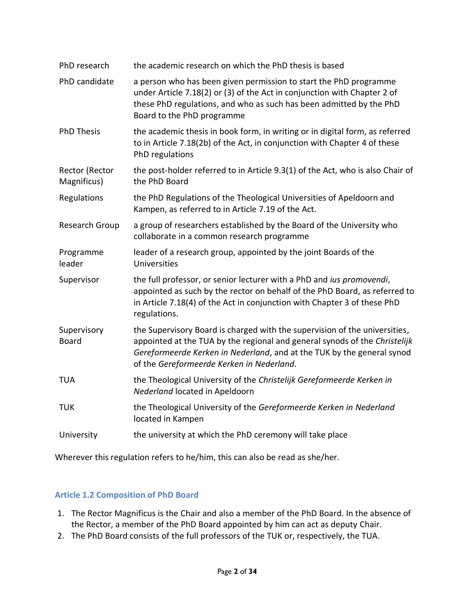| PhD research                  | the academic research on which the PhD thesis is based                                                                                                                                                                                                                          |  |
|-------------------------------|---------------------------------------------------------------------------------------------------------------------------------------------------------------------------------------------------------------------------------------------------------------------------------|--|
| PhD candidate                 | a person who has been given permission to start the PhD programme<br>under Article 7.18(2) or (3) of the Act in conjunction with Chapter 2 of<br>these PhD regulations, and who as such has been admitted by the PhD<br>Board to the PhD programme                              |  |
| <b>PhD Thesis</b>             | the academic thesis in book form, in writing or in digital form, as referred<br>to in Article 7.18(2b) of the Act, in conjunction with Chapter 4 of these<br>PhD regulations                                                                                                    |  |
| Rector (Rector<br>Magnificus) | the post-holder referred to in Article 9.3(1) of the Act, who is also Chair of<br>the PhD Board                                                                                                                                                                                 |  |
| Regulations                   | the PhD Regulations of the Theological Universities of Apeldoorn and<br>Kampen, as referred to in Article 7.19 of the Act.                                                                                                                                                      |  |
| Research Group                | a group of researchers established by the Board of the University who<br>collaborate in a common research programme                                                                                                                                                             |  |
| Programme<br>leader           | leader of a research group, appointed by the joint Boards of the<br>Universities                                                                                                                                                                                                |  |
| Supervisor                    | the full professor, or senior lecturer with a PhD and ius promovendi,<br>appointed as such by the rector on behalf of the PhD Board, as referred to<br>in Article 7.18(4) of the Act in conjunction with Chapter 3 of these PhD<br>regulations.                                 |  |
| Supervisory<br><b>Board</b>   | the Supervisory Board is charged with the supervision of the universities,<br>appointed at the TUA by the regional and general synods of the Christelijk<br>Gereformeerde Kerken in Nederland, and at the TUK by the general synod<br>of the Gereformeerde Kerken in Nederland. |  |
| <b>TUA</b>                    | the Theological University of the Christelijk Gereformeerde Kerken in<br>Nederland located in Apeldoorn                                                                                                                                                                         |  |
| <b>TUK</b>                    | the Theological University of the Gereformeerde Kerken in Nederland<br>located in Kampen                                                                                                                                                                                        |  |
| University                    | the university at which the PhD ceremony will take place                                                                                                                                                                                                                        |  |

Wherever this regulation refers to he/him, this can also be read as she/her.

# **Article 1.2 Composition of PhD Board**

- 1. The Rector Magnificus is the Chair and also a member of the PhD Board. In the absence of the Rector, a member of the PhD Board appointed by him can act as deputy Chair.
- 2. The PhD Board consists of the full professors of the TUK or, respectively, the TUA.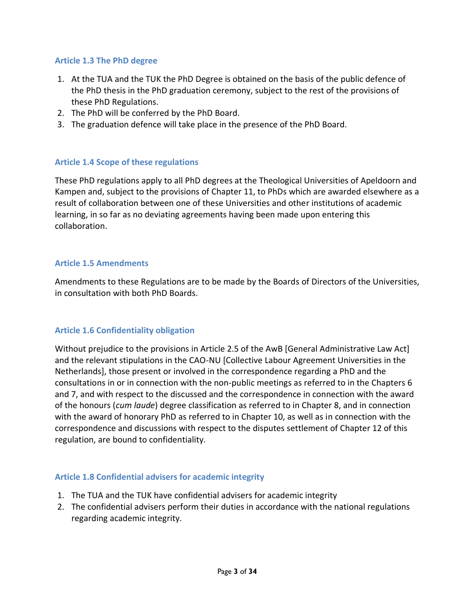#### **Article 1.3 The PhD degree**

- 1. At the TUA and the TUK the PhD Degree is obtained on the basis of the public defence of the PhD thesis in the PhD graduation ceremony, subject to the rest of the provisions of these PhD Regulations.
- 2. The PhD will be conferred by the PhD Board.
- 3. The graduation defence will take place in the presence of the PhD Board.

#### **Article 1.4 Scope of these regulations**

These PhD regulations apply to all PhD degrees at the Theological Universities of Apeldoorn and Kampen and, subject to the provisions of Chapter 11, to PhDs which are awarded elsewhere as a result of collaboration between one of these Universities and other institutions of academic learning, in so far as no deviating agreements having been made upon entering this collaboration.

#### **Article 1.5 Amendments**

Amendments to these Regulations are to be made by the Boards of Directors of the Universities, in consultation with both PhD Boards.

#### **Article 1.6 Confidentiality obligation**

Without prejudice to the provisions in Article 2.5 of the AwB [General Administrative Law Act] and the relevant stipulations in the CAO-NU [Collective Labour Agreement Universities in the Netherlands], those present or involved in the correspondence regarding a PhD and the consultations in or in connection with the non-public meetings as referred to in the Chapters 6 and 7, and with respect to the discussed and the correspondence in connection with the award of the honours (*cum laude*) degree classification as referred to in Chapter 8, and in connection with the award of honorary PhD as referred to in Chapter 10, as well as in connection with the correspondence and discussions with respect to the disputes settlement of Chapter 12 of this regulation, are bound to confidentiality.

#### **Article 1.8 Confidential advisers for academic integrity**

- 1. The TUA and the TUK have confidential advisers for academic integrity
- 2. The confidential advisers perform their duties in accordance with the national regulations regarding academic integrity.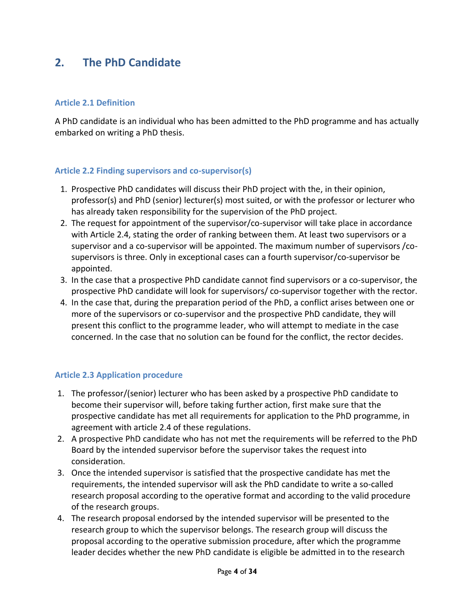# **2. The PhD Candidate**

## **Article 2.1 Definition**

A PhD candidate is an individual who has been admitted to the PhD programme and has actually embarked on writing a PhD thesis.

#### **Article 2.2 Finding supervisors and co-supervisor(s)**

- 1. Prospective PhD candidates will discuss their PhD project with the, in their opinion, professor(s) and PhD (senior) lecturer(s) most suited, or with the professor or lecturer who has already taken responsibility for the supervision of the PhD project.
- 2. The request for appointment of the supervisor/co-supervisor will take place in accordance with Article 2.4, stating the order of ranking between them. At least two supervisors or a supervisor and a co-supervisor will be appointed. The maximum number of supervisors /cosupervisors is three. Only in exceptional cases can a fourth supervisor/co-supervisor be appointed.
- 3. In the case that a prospective PhD candidate cannot find supervisors or a co-supervisor, the prospective PhD candidate will look for supervisors/ co-supervisor together with the rector.
- 4. In the case that, during the preparation period of the PhD, a conflict arises between one or more of the supervisors or co-supervisor and the prospective PhD candidate, they will present this conflict to the programme leader, who will attempt to mediate in the case concerned. In the case that no solution can be found for the conflict, the rector decides.

#### **Article 2.3 Application procedure**

- 1. The professor/(senior) lecturer who has been asked by a prospective PhD candidate to become their supervisor will, before taking further action, first make sure that the prospective candidate has met all requirements for application to the PhD programme, in agreement with article 2.4 of these regulations.
- 2. A prospective PhD candidate who has not met the requirements will be referred to the PhD Board by the intended supervisor before the supervisor takes the request into consideration.
- 3. Once the intended supervisor is satisfied that the prospective candidate has met the requirements, the intended supervisor will ask the PhD candidate to write a so-called research proposal according to the operative format and according to the valid procedure of the research groups.
- 4. The research proposal endorsed by the intended supervisor will be presented to the research group to which the supervisor belongs. The research group will discuss the proposal according to the operative submission procedure, after which the programme leader decides whether the new PhD candidate is eligible be admitted in to the research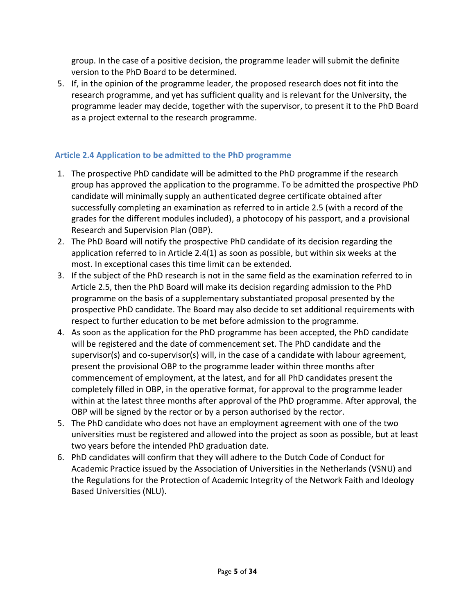group. In the case of a positive decision, the programme leader will submit the definite version to the PhD Board to be determined.

5. If, in the opinion of the programme leader, the proposed research does not fit into the research programme, and yet has sufficient quality and is relevant for the University, the programme leader may decide, together with the supervisor, to present it to the PhD Board as a project external to the research programme.

# **Article 2.4 Application to be admitted to the PhD programme**

- 1. The prospective PhD candidate will be admitted to the PhD programme if the research group has approved the application to the programme. To be admitted the prospective PhD candidate will minimally supply an authenticated degree certificate obtained after successfully completing an examination as referred to in article 2.5 (with a record of the grades for the different modules included), a photocopy of his passport, and a provisional Research and Supervision Plan (OBP).
- 2. The PhD Board will notify the prospective PhD candidate of its decision regarding the application referred to in Article 2.4(1) as soon as possible, but within six weeks at the most. In exceptional cases this time limit can be extended.
- 3. If the subject of the PhD research is not in the same field as the examination referred to in Article 2.5, then the PhD Board will make its decision regarding admission to the PhD programme on the basis of a supplementary substantiated proposal presented by the prospective PhD candidate. The Board may also decide to set additional requirements with respect to further education to be met before admission to the programme.
- 4. As soon as the application for the PhD programme has been accepted, the PhD candidate will be registered and the date of commencement set. The PhD candidate and the supervisor(s) and co-supervisor(s) will, in the case of a candidate with labour agreement, present the provisional OBP to the programme leader within three months after commencement of employment, at the latest, and for all PhD candidates present the completely filled in OBP, in the operative format, for approval to the programme leader within at the latest three months after approval of the PhD programme. After approval, the OBP will be signed by the rector or by a person authorised by the rector.
- 5. The PhD candidate who does not have an employment agreement with one of the two universities must be registered and allowed into the project as soon as possible, but at least two years before the intended PhD graduation date.
- 6. PhD candidates will confirm that they will adhere to the Dutch Code of Conduct for Academic Practice issued by the Association of Universities in the Netherlands (VSNU) and the Regulations for the Protection of Academic Integrity of the Network Faith and Ideology Based Universities (NLU).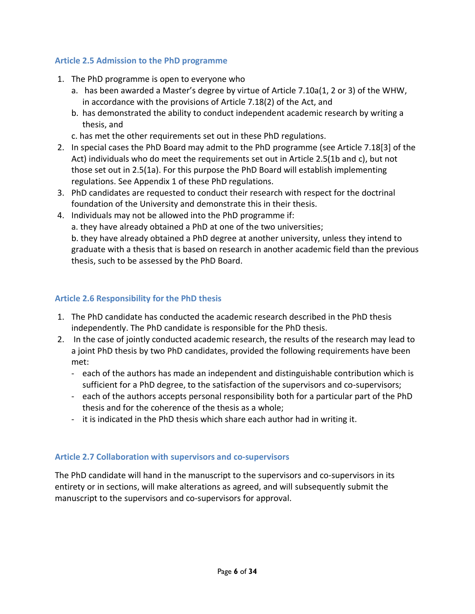# **Article 2.5 Admission to the PhD programme**

- 1. The PhD programme is open to everyone who
	- a. has been awarded a Master's degree by virtue of Article 7.10a(1, 2 or 3) of the WHW, in accordance with the provisions of Article 7.18(2) of the Act, and
	- b. has demonstrated the ability to conduct independent academic research by writing a thesis, and
	- c. has met the other requirements set out in these PhD regulations.
- 2. In special cases the PhD Board may admit to the PhD programme (see Article 7.18[3] of the Act) individuals who do meet the requirements set out in Article 2.5(1b and c), but not those set out in 2.5(1a). For this purpose the PhD Board will establish implementing regulations. See Appendix 1 of these PhD regulations.
- 3. PhD candidates are requested to conduct their research with respect for the doctrinal foundation of the University and demonstrate this in their thesis.
- 4. Individuals may not be allowed into the PhD programme if:
	- a. they have already obtained a PhD at one of the two universities;

b. they have already obtained a PhD degree at another university, unless they intend to graduate with a thesis that is based on research in another academic field than the previous thesis, such to be assessed by the PhD Board.

# **Article 2.6 Responsibility for the PhD thesis**

- 1. The PhD candidate has conducted the academic research described in the PhD thesis independently. The PhD candidate is responsible for the PhD thesis.
- 2. In the case of jointly conducted academic research, the results of the research may lead to a joint PhD thesis by two PhD candidates, provided the following requirements have been met:
	- each of the authors has made an independent and distinguishable contribution which is sufficient for a PhD degree, to the satisfaction of the supervisors and co-supervisors;
	- each of the authors accepts personal responsibility both for a particular part of the PhD thesis and for the coherence of the thesis as a whole;
	- it is indicated in the PhD thesis which share each author had in writing it.

#### **Article 2.7 Collaboration with supervisors and co-supervisors**

The PhD candidate will hand in the manuscript to the supervisors and co-supervisors in its entirety or in sections, will make alterations as agreed, and will subsequently submit the manuscript to the supervisors and co-supervisors for approval.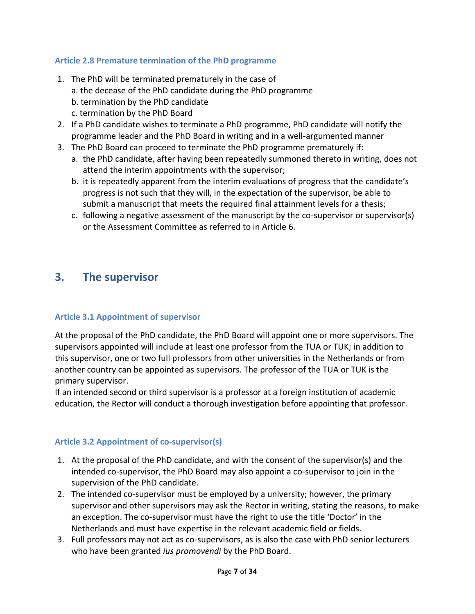# **Article 2.8 Premature termination of the PhD programme**

- 1. The PhD will be terminated prematurely in the case of
	- a. the decease of the PhD candidate during the PhD programme
	- b. termination by the PhD candidate
	- c. termination by the PhD Board
- 2. If a PhD candidate wishes to terminate a PhD programme, PhD candidate will notify the programme leader and the PhD Board in writing and in a well-argumented manner
- 3. The PhD Board can proceed to terminate the PhD programme prematurely if:
	- a. the PhD candidate, after having been repeatedly summoned thereto in writing, does not attend the interim appointments with the supervisor;
	- b. it is repeatedly apparent from the interim evaluations of progress that the candidate's progress is not such that they will, in the expectation of the supervisor, be able to submit a manuscript that meets the required final attainment levels for a thesis;
	- c. following a negative assessment of the manuscript by the co-supervisor or supervisor(s) or the Assessment Committee as referred to in Article 6.

# **3. The supervisor**

#### **Article 3.1 Appointment of supervisor**

At the proposal of the PhD candidate, the PhD Board will appoint one or more supervisors. The supervisors appointed will include at least one professor from the TUA or TUK; in addition to this supervisor, one or two full professors from other universities in the Netherlands or from another country can be appointed as supervisors. The professor of the TUA or TUK is the primary supervisor.

If an intended second or third supervisor is a professor at a foreign institution of academic education, the Rector will conduct a thorough investigation before appointing that professor.

#### **Article 3.2 Appointment of co-supervisor(s)**

- 1. At the proposal of the PhD candidate, and with the consent of the supervisor(s) and the intended co-supervisor, the PhD Board may also appoint a co-supervisor to join in the supervision of the PhD candidate.
- 2. The intended co-supervisor must be employed by a university; however, the primary supervisor and other supervisors may ask the Rector in writing, stating the reasons, to make an exception. The co-supervisor must have the right to use the title 'Doctor' in the Netherlands and must have expertise in the relevant academic field or fields.
- 3. Full professors may not act as co-supervisors, as is also the case with PhD senior lecturers who have been granted *ius promovendi* by the PhD Board.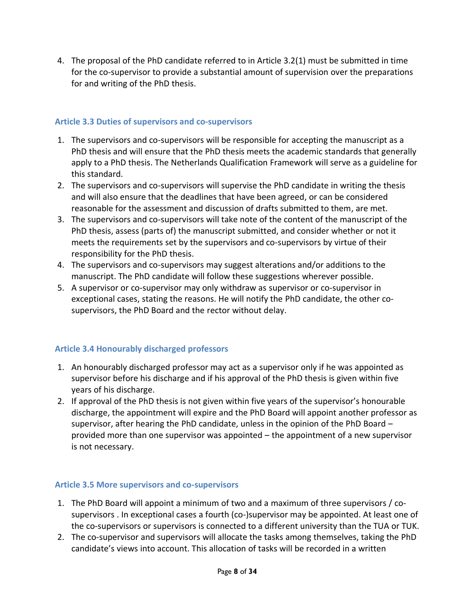4. The proposal of the PhD candidate referred to in Article 3.2(1) must be submitted in time for the co-supervisor to provide a substantial amount of supervision over the preparations for and writing of the PhD thesis.

# **Article 3.3 Duties of supervisors and co-supervisors**

- 1. The supervisors and co-supervisors will be responsible for accepting the manuscript as a PhD thesis and will ensure that the PhD thesis meets the academic standards that generally apply to a PhD thesis. The Netherlands Qualification Framework will serve as a guideline for this standard.
- 2. The supervisors and co-supervisors will supervise the PhD candidate in writing the thesis and will also ensure that the deadlines that have been agreed, or can be considered reasonable for the assessment and discussion of drafts submitted to them, are met.
- 3. The supervisors and co-supervisors will take note of the content of the manuscript of the PhD thesis, assess (parts of) the manuscript submitted, and consider whether or not it meets the requirements set by the supervisors and co-supervisors by virtue of their responsibility for the PhD thesis.
- 4. The supervisors and co-supervisors may suggest alterations and/or additions to the manuscript. The PhD candidate will follow these suggestions wherever possible.
- 5. A supervisor or co-supervisor may only withdraw as supervisor or co-supervisor in exceptional cases, stating the reasons. He will notify the PhD candidate, the other cosupervisors, the PhD Board and the rector without delay.

# **Article 3.4 Honourably discharged professors**

- 1. An honourably discharged professor may act as a supervisor only if he was appointed as supervisor before his discharge and if his approval of the PhD thesis is given within five years of his discharge.
- 2. If approval of the PhD thesis is not given within five years of the supervisor's honourable discharge, the appointment will expire and the PhD Board will appoint another professor as supervisor, after hearing the PhD candidate, unless in the opinion of the PhD Board – provided more than one supervisor was appointed – the appointment of a new supervisor is not necessary.

# **Article 3.5 More supervisors and co-supervisors**

- 1. The PhD Board will appoint a minimum of two and a maximum of three supervisors / cosupervisors . In exceptional cases a fourth (co-)supervisor may be appointed. At least one of the co-supervisors or supervisors is connected to a different university than the TUA or TUK.
- 2. The co-supervisor and supervisors will allocate the tasks among themselves, taking the PhD candidate's views into account. This allocation of tasks will be recorded in a written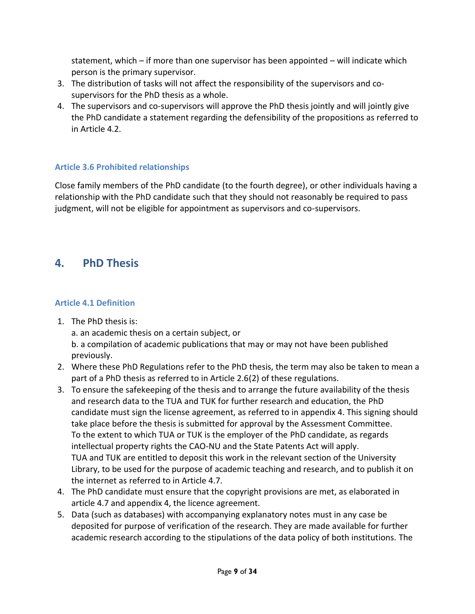statement, which – if more than one supervisor has been appointed – will indicate which person is the primary supervisor.

- 3. The distribution of tasks will not affect the responsibility of the supervisors and cosupervisors for the PhD thesis as a whole.
- 4. The supervisors and co-supervisors will approve the PhD thesis jointly and will jointly give the PhD candidate a statement regarding the defensibility of the propositions as referred to in Article 4.2.

# **Article 3.6 Prohibited relationships**

Close family members of the PhD candidate (to the fourth degree), or other individuals having a relationship with the PhD candidate such that they should not reasonably be required to pass judgment, will not be eligible for appointment as supervisors and co-supervisors.

# **4. PhD Thesis**

# **Article 4.1 Definition**

1. The PhD thesis is:

a. an academic thesis on a certain subject, or

b. a compilation of academic publications that may or may not have been published previously.

- 2. Where these PhD Regulations refer to the PhD thesis, the term may also be taken to mean a part of a PhD thesis as referred to in Article 2.6(2) of these regulations.
- 3. To ensure the safekeeping of the thesis and to arrange the future availability of the thesis and research data to the TUA and TUK for further research and education, the PhD candidate must sign the license agreement, as referred to in appendix 4. This signing should take place before the thesis is submitted for approval by the Assessment Committee. To the extent to which TUA or TUK is the employer of the PhD candidate, as regards intellectual property rights the CAO-NU and the State Patents Act will apply. TUA and TUK are entitled to deposit this work in the relevant section of the University Library, to be used for the purpose of academic teaching and research, and to publish it on the internet as referred to in Article 4.7.
- 4. The PhD candidate must ensure that the copyright provisions are met, as elaborated in article 4.7 and appendix 4, the licence agreement.
- 5. Data (such as databases) with accompanying explanatory notes must in any case be deposited for purpose of verification of the research. They are made available for further academic research according to the stipulations of the data policy of both institutions. The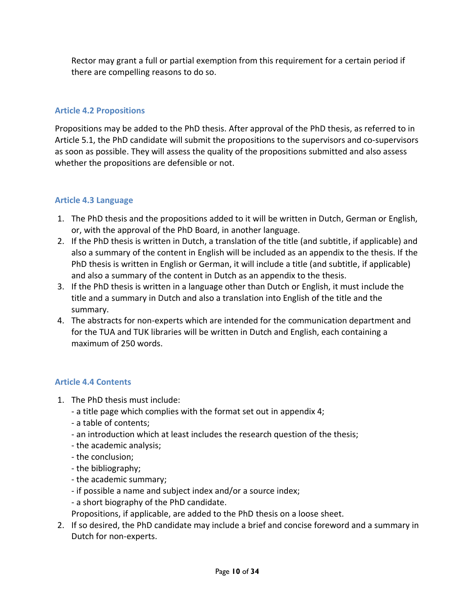Rector may grant a full or partial exemption from this requirement for a certain period if there are compelling reasons to do so.

# **Article 4.2 Propositions**

Propositions may be added to the PhD thesis. After approval of the PhD thesis, as referred to in Article 5.1, the PhD candidate will submit the propositions to the supervisors and co-supervisors as soon as possible. They will assess the quality of the propositions submitted and also assess whether the propositions are defensible or not.

# **Article 4.3 Language**

- 1. The PhD thesis and the propositions added to it will be written in Dutch, German or English, or, with the approval of the PhD Board, in another language.
- 2. If the PhD thesis is written in Dutch, a translation of the title (and subtitle, if applicable) and also a summary of the content in English will be included as an appendix to the thesis. If the PhD thesis is written in English or German, it will include a title (and subtitle, if applicable) and also a summary of the content in Dutch as an appendix to the thesis.
- 3. If the PhD thesis is written in a language other than Dutch or English, it must include the title and a summary in Dutch and also a translation into English of the title and the summary.
- 4. The abstracts for non-experts which are intended for the communication department and for the TUA and TUK libraries will be written in Dutch and English, each containing a maximum of 250 words.

# **Article 4.4 Contents**

- 1. The PhD thesis must include:
	- a title page which complies with the format set out in appendix 4;
	- a table of contents;
	- an introduction which at least includes the research question of the thesis;
	- the academic analysis;
	- the conclusion;
	- the bibliography;
	- the academic summary;
	- if possible a name and subject index and/or a source index;
	- a short biography of the PhD candidate.
	- Propositions, if applicable, are added to the PhD thesis on a loose sheet.
- 2. If so desired, the PhD candidate may include a brief and concise foreword and a summary in Dutch for non-experts.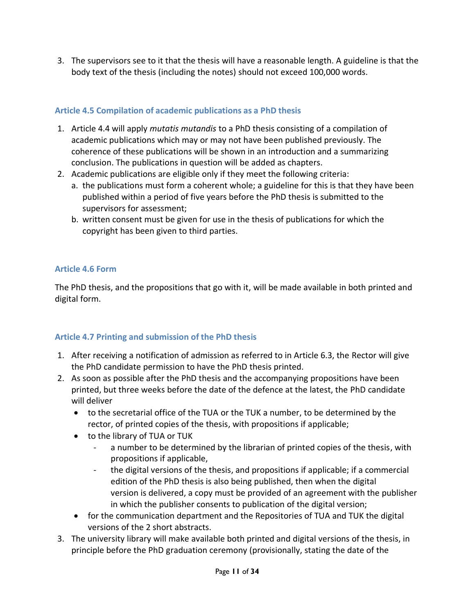3. The supervisors see to it that the thesis will have a reasonable length. A guideline is that the body text of the thesis (including the notes) should not exceed 100,000 words.

# **Article 4.5 Compilation of academic publications as a PhD thesis**

- 1. Article 4.4 will apply *mutatis mutandis* to a PhD thesis consisting of a compilation of academic publications which may or may not have been published previously. The coherence of these publications will be shown in an introduction and a summarizing conclusion. The publications in question will be added as chapters.
- 2. Academic publications are eligible only if they meet the following criteria:
	- a. the publications must form a coherent whole; a guideline for this is that they have been published within a period of five years before the PhD thesis is submitted to the supervisors for assessment;
	- b. written consent must be given for use in the thesis of publications for which the copyright has been given to third parties.

# **Article 4.6 Form**

The PhD thesis, and the propositions that go with it, will be made available in both printed and digital form.

# **Article 4.7 Printing and submission of the PhD thesis**

- 1. After receiving a notification of admission as referred to in Article 6.3, the Rector will give the PhD candidate permission to have the PhD thesis printed.
- 2. As soon as possible after the PhD thesis and the accompanying propositions have been printed, but three weeks before the date of the defence at the latest, the PhD candidate will deliver
	- to the secretarial office of the TUA or the TUK a number, to be determined by the rector, of printed copies of the thesis, with propositions if applicable;
	- to the library of TUA or TUK
		- a number to be determined by the librarian of printed copies of the thesis, with propositions if applicable,
		- the digital versions of the thesis, and propositions if applicable; if a commercial edition of the PhD thesis is also being published, then when the digital version is delivered, a copy must be provided of an agreement with the publisher in which the publisher consents to publication of the digital version;
	- for the communication department and the Repositories of TUA and TUK the digital versions of the 2 short abstracts.
- 3. The university library will make available both printed and digital versions of the thesis, in principle before the PhD graduation ceremony (provisionally, stating the date of the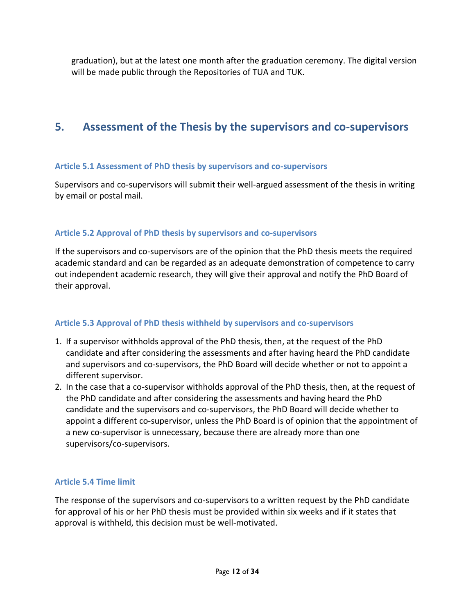graduation), but at the latest one month after the graduation ceremony. The digital version will be made public through the Repositories of TUA and TUK.

# **5. Assessment of the Thesis by the supervisors and co-supervisors**

#### **Article 5.1 Assessment of PhD thesis by supervisors and co-supervisors**

Supervisors and co-supervisors will submit their well-argued assessment of the thesis in writing by email or postal mail.

# **Article 5.2 Approval of PhD thesis by supervisors and co-supervisors**

If the supervisors and co-supervisors are of the opinion that the PhD thesis meets the required academic standard and can be regarded as an adequate demonstration of competence to carry out independent academic research, they will give their approval and notify the PhD Board of their approval.

# **Article 5.3 Approval of PhD thesis withheld by supervisors and co-supervisors**

- 1. If a supervisor withholds approval of the PhD thesis, then, at the request of the PhD candidate and after considering the assessments and after having heard the PhD candidate and supervisors and co-supervisors, the PhD Board will decide whether or not to appoint a different supervisor.
- 2. In the case that a co-supervisor withholds approval of the PhD thesis, then, at the request of the PhD candidate and after considering the assessments and having heard the PhD candidate and the supervisors and co-supervisors, the PhD Board will decide whether to appoint a different co-supervisor, unless the PhD Board is of opinion that the appointment of a new co-supervisor is unnecessary, because there are already more than one supervisors/co-supervisors.

# **Article 5.4 Time limit**

The response of the supervisors and co-supervisors to a written request by the PhD candidate for approval of his or her PhD thesis must be provided within six weeks and if it states that approval is withheld, this decision must be well-motivated.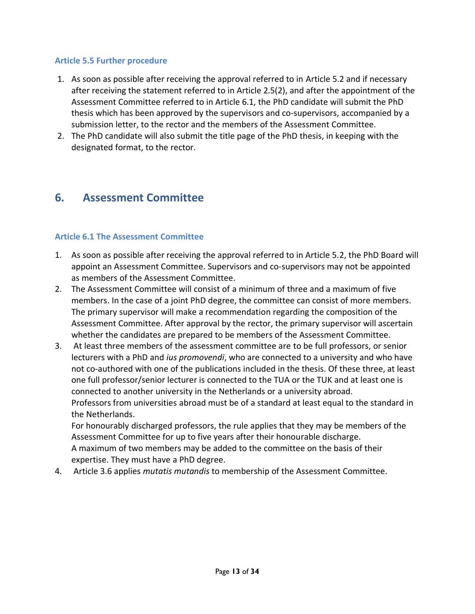#### **Article 5.5 Further procedure**

- 1. As soon as possible after receiving the approval referred to in Article 5.2 and if necessary after receiving the statement referred to in Article 2.5(2), and after the appointment of the Assessment Committee referred to in Article 6.1, the PhD candidate will submit the PhD thesis which has been approved by the supervisors and co-supervisors, accompanied by a submission letter, to the rector and the members of the Assessment Committee.
- 2. The PhD candidate will also submit the title page of the PhD thesis, in keeping with the designated format, to the rector.

# **6. Assessment Committee**

#### **Article 6.1 The Assessment Committee**

- 1. As soon as possible after receiving the approval referred to in Article 5.2, the PhD Board will appoint an Assessment Committee. Supervisors and co-supervisors may not be appointed as members of the Assessment Committee.
- 2. The Assessment Committee will consist of a minimum of three and a maximum of five members. In the case of a joint PhD degree, the committee can consist of more members. The primary supervisor will make a recommendation regarding the composition of the Assessment Committee. After approval by the rector, the primary supervisor will ascertain whether the candidates are prepared to be members of the Assessment Committee.
- 3. At least three members of the assessment committee are to be full professors, or senior lecturers with a PhD and *ius promovendi*, who are connected to a university and who have not co-authored with one of the publications included in the thesis. Of these three, at least one full professor/senior lecturer is connected to the TUA or the TUK and at least one is connected to another university in the Netherlands or a university abroad. Professors from universities abroad must be of a standard at least equal to the standard in the Netherlands.

For honourably discharged professors, the rule applies that they may be members of the Assessment Committee for up to five years after their honourable discharge. A maximum of two members may be added to the committee on the basis of their expertise. They must have a PhD degree.

4. Article 3.6 applies *mutatis mutandis* to membership of the Assessment Committee.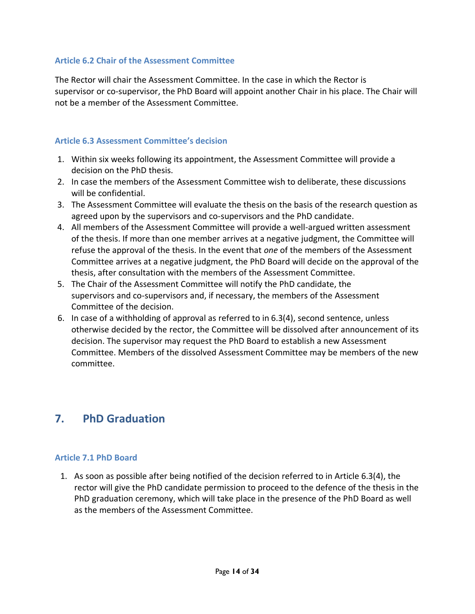#### **Article 6.2 Chair of the Assessment Committee**

The Rector will chair the Assessment Committee. In the case in which the Rector is supervisor or co-supervisor, the PhD Board will appoint another Chair in his place. The Chair will not be a member of the Assessment Committee.

#### **Article 6.3 Assessment Committee's decision**

- 1. Within six weeks following its appointment, the Assessment Committee will provide a decision on the PhD thesis.
- 2. In case the members of the Assessment Committee wish to deliberate, these discussions will be confidential.
- 3. The Assessment Committee will evaluate the thesis on the basis of the research question as agreed upon by the supervisors and co-supervisors and the PhD candidate.
- 4. All members of the Assessment Committee will provide a well-argued written assessment of the thesis. If more than one member arrives at a negative judgment, the Committee will refuse the approval of the thesis. In the event that *one* of the members of the Assessment Committee arrives at a negative judgment, the PhD Board will decide on the approval of the thesis, after consultation with the members of the Assessment Committee.
- 5. The Chair of the Assessment Committee will notify the PhD candidate, the supervisors and co-supervisors and, if necessary, the members of the Assessment Committee of the decision.
- 6. In case of a withholding of approval as referred to in 6.3(4), second sentence, unless otherwise decided by the rector, the Committee will be dissolved after announcement of its decision. The supervisor may request the PhD Board to establish a new Assessment Committee. Members of the dissolved Assessment Committee may be members of the new committee.

# **7. PhD Graduation**

#### **Article 7.1 PhD Board**

1. As soon as possible after being notified of the decision referred to in Article 6.3(4), the rector will give the PhD candidate permission to proceed to the defence of the thesis in the PhD graduation ceremony, which will take place in the presence of the PhD Board as well as the members of the Assessment Committee.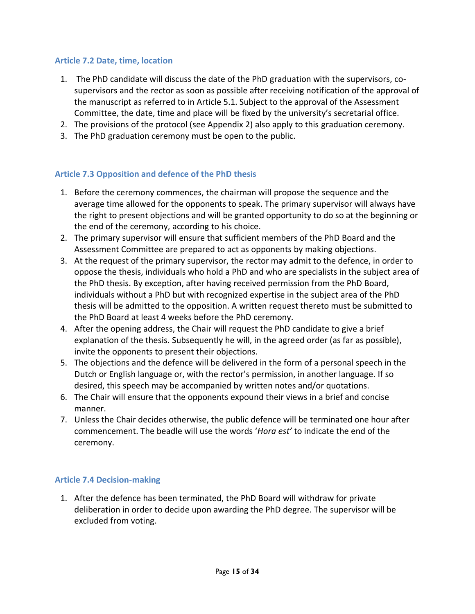#### **Article 7.2 Date, time, location**

- 1. The PhD candidate will discuss the date of the PhD graduation with the supervisors, cosupervisors and the rector as soon as possible after receiving notification of the approval of the manuscript as referred to in Article 5.1. Subject to the approval of the Assessment Committee, the date, time and place will be fixed by the university's secretarial office.
- 2. The provisions of the protocol (see Appendix 2) also apply to this graduation ceremony.
- 3. The PhD graduation ceremony must be open to the public.

#### **Article 7.3 Opposition and defence of the PhD thesis**

- 1. Before the ceremony commences, the chairman will propose the sequence and the average time allowed for the opponents to speak. The primary supervisor will always have the right to present objections and will be granted opportunity to do so at the beginning or the end of the ceremony, according to his choice.
- 2. The primary supervisor will ensure that sufficient members of the PhD Board and the Assessment Committee are prepared to act as opponents by making objections.
- 3. At the request of the primary supervisor, the rector may admit to the defence, in order to oppose the thesis, individuals who hold a PhD and who are specialists in the subject area of the PhD thesis. By exception, after having received permission from the PhD Board, individuals without a PhD but with recognized expertise in the subject area of the PhD thesis will be admitted to the opposition. A written request thereto must be submitted to the PhD Board at least 4 weeks before the PhD ceremony.
- 4. After the opening address, the Chair will request the PhD candidate to give a brief explanation of the thesis. Subsequently he will, in the agreed order (as far as possible), invite the opponents to present their objections.
- 5. The objections and the defence will be delivered in the form of a personal speech in the Dutch or English language or, with the rector's permission, in another language. If so desired, this speech may be accompanied by written notes and/or quotations.
- 6. The Chair will ensure that the opponents expound their views in a brief and concise manner.
- 7. Unless the Chair decides otherwise, the public defence will be terminated one hour after commencement. The beadle will use the words '*Hora est'* to indicate the end of the ceremony.

#### **Article 7.4 Decision-making**

1. After the defence has been terminated, the PhD Board will withdraw for private deliberation in order to decide upon awarding the PhD degree. The supervisor will be excluded from voting.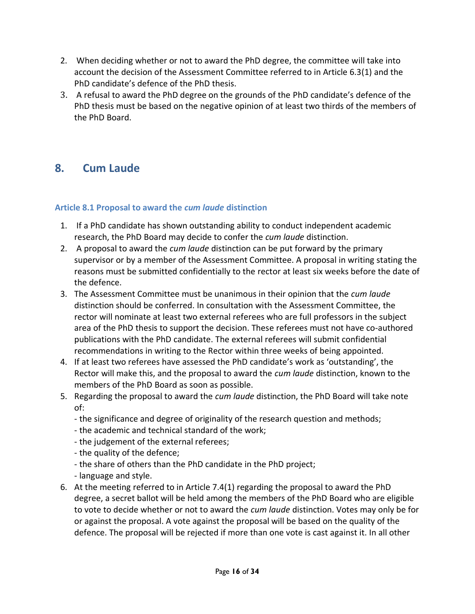- 2. When deciding whether or not to award the PhD degree, the committee will take into account the decision of the Assessment Committee referred to in Article 6.3(1) and the PhD candidate's defence of the PhD thesis.
- 3. A refusal to award the PhD degree on the grounds of the PhD candidate's defence of the PhD thesis must be based on the negative opinion of at least two thirds of the members of the PhD Board.

# **8. Cum Laude**

# **Article 8.1 Proposal to award the** *cum laude* **distinction**

- 1. If a PhD candidate has shown outstanding ability to conduct independent academic research, the PhD Board may decide to confer the *cum laude* distinction.
- 2. A proposal to award the *cum laude* distinction can be put forward by the primary supervisor or by a member of the Assessment Committee. A proposal in writing stating the reasons must be submitted confidentially to the rector at least six weeks before the date of the defence.
- 3. The Assessment Committee must be unanimous in their opinion that the *cum laude* distinction should be conferred. In consultation with the Assessment Committee, the rector will nominate at least two external referees who are full professors in the subject area of the PhD thesis to support the decision. These referees must not have co-authored publications with the PhD candidate. The external referees will submit confidential recommendations in writing to the Rector within three weeks of being appointed.
- 4. If at least two referees have assessed the PhD candidate's work as 'outstanding', the Rector will make this, and the proposal to award the *cum laude* distinction, known to the members of the PhD Board as soon as possible.
- 5. Regarding the proposal to award the *cum laude* distinction, the PhD Board will take note of:
	- the significance and degree of originality of the research question and methods;
	- the academic and technical standard of the work;
	- the judgement of the external referees;
	- the quality of the defence;
	- the share of others than the PhD candidate in the PhD project;
	- language and style.
- 6. At the meeting referred to in Article 7.4(1) regarding the proposal to award the PhD degree, a secret ballot will be held among the members of the PhD Board who are eligible to vote to decide whether or not to award the *cum laude* distinction. Votes may only be for or against the proposal. A vote against the proposal will be based on the quality of the defence. The proposal will be rejected if more than one vote is cast against it. In all other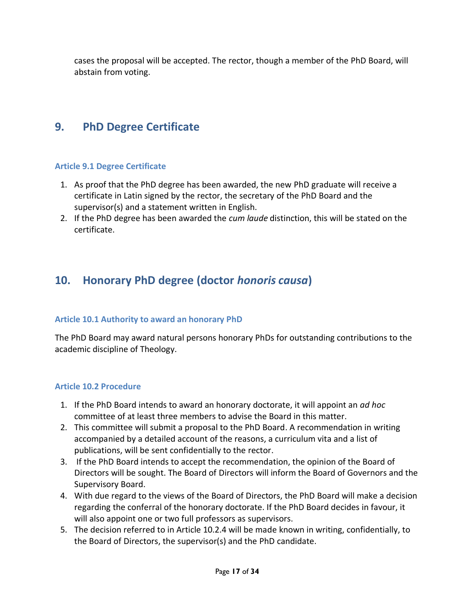cases the proposal will be accepted. The rector, though a member of the PhD Board, will abstain from voting.

# **9. PhD Degree Certificate**

#### **Article 9.1 Degree Certificate**

- 1. As proof that the PhD degree has been awarded, the new PhD graduate will receive a certificate in Latin signed by the rector, the secretary of the PhD Board and the supervisor(s) and a statement written in English.
- 2. If the PhD degree has been awarded the *cum laude* distinction, this will be stated on the certificate.

# **10. Honorary PhD degree (doctor** *honoris causa***)**

#### **Article 10.1 Authority to award an honorary PhD**

The PhD Board may award natural persons honorary PhDs for outstanding contributions to the academic discipline of Theology.

#### **Article 10.2 Procedure**

- 1. If the PhD Board intends to award an honorary doctorate, it will appoint an *ad hoc* committee of at least three members to advise the Board in this matter.
- 2. This committee will submit a proposal to the PhD Board. A recommendation in writing accompanied by a detailed account of the reasons, a curriculum vita and a list of publications, will be sent confidentially to the rector.
- 3. If the PhD Board intends to accept the recommendation, the opinion of the Board of Directors will be sought. The Board of Directors will inform the Board of Governors and the Supervisory Board.
- 4. With due regard to the views of the Board of Directors, the PhD Board will make a decision regarding the conferral of the honorary doctorate. If the PhD Board decides in favour, it will also appoint one or two full professors as supervisors.
- 5. The decision referred to in Article 10.2.4 will be made known in writing, confidentially, to the Board of Directors, the supervisor(s) and the PhD candidate.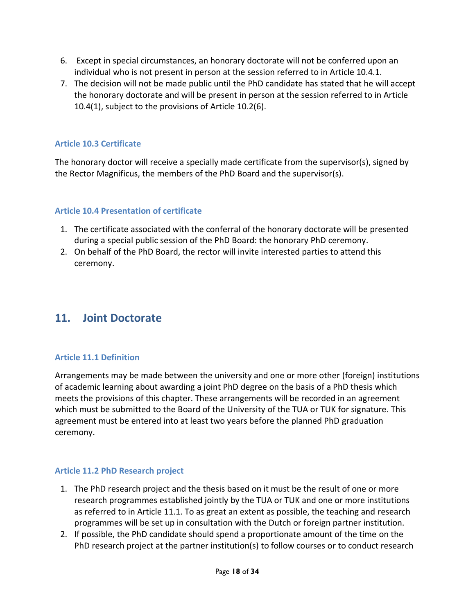- 6. Except in special circumstances, an honorary doctorate will not be conferred upon an individual who is not present in person at the session referred to in Article 10.4.1.
- 7. The decision will not be made public until the PhD candidate has stated that he will accept the honorary doctorate and will be present in person at the session referred to in Article 10.4(1), subject to the provisions of Article 10.2(6).

# **Article 10.3 Certificate**

The honorary doctor will receive a specially made certificate from the supervisor(s), signed by the Rector Magnificus, the members of the PhD Board and the supervisor(s).

# **Article 10.4 Presentation of certificate**

- 1. The certificate associated with the conferral of the honorary doctorate will be presented during a special public session of the PhD Board: the honorary PhD ceremony.
- 2. On behalf of the PhD Board, the rector will invite interested parties to attend this ceremony.

# **11. Joint Doctorate**

#### **Article 11.1 Definition**

Arrangements may be made between the university and one or more other (foreign) institutions of academic learning about awarding a joint PhD degree on the basis of a PhD thesis which meets the provisions of this chapter. These arrangements will be recorded in an agreement which must be submitted to the Board of the University of the TUA or TUK for signature. This agreement must be entered into at least two years before the planned PhD graduation ceremony.

#### **Article 11.2 PhD Research project**

- 1. The PhD research project and the thesis based on it must be the result of one or more research programmes established jointly by the TUA or TUK and one or more institutions as referred to in Article 11.1. To as great an extent as possible, the teaching and research programmes will be set up in consultation with the Dutch or foreign partner institution.
- 2. If possible, the PhD candidate should spend a proportionate amount of the time on the PhD research project at the partner institution(s) to follow courses or to conduct research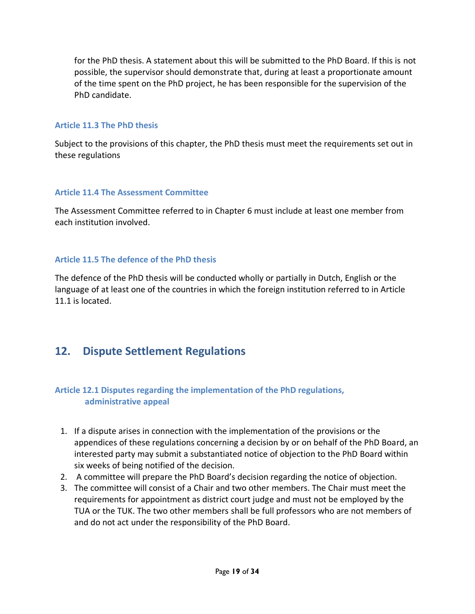for the PhD thesis. A statement about this will be submitted to the PhD Board. If this is not possible, the supervisor should demonstrate that, during at least a proportionate amount of the time spent on the PhD project, he has been responsible for the supervision of the PhD candidate.

#### **Article 11.3 The PhD thesis**

Subject to the provisions of this chapter, the PhD thesis must meet the requirements set out in these regulations

# **Article 11.4 The Assessment Committee**

The Assessment Committee referred to in Chapter 6 must include at least one member from each institution involved.

# **Article 11.5 The defence of the PhD thesis**

The defence of the PhD thesis will be conducted wholly or partially in Dutch, English or the language of at least one of the countries in which the foreign institution referred to in Article 11.1 is located.

# **12. Dispute Settlement Regulations**

# **Article 12.1 Disputes regarding the implementation of the PhD regulations, administrative appeal**

- 1. If a dispute arises in connection with the implementation of the provisions or the appendices of these regulations concerning a decision by or on behalf of the PhD Board, an interested party may submit a substantiated notice of objection to the PhD Board within six weeks of being notified of the decision.
- 2. A committee will prepare the PhD Board's decision regarding the notice of objection.
- 3. The committee will consist of a Chair and two other members. The Chair must meet the requirements for appointment as district court judge and must not be employed by the TUA or the TUK. The two other members shall be full professors who are not members of and do not act under the responsibility of the PhD Board.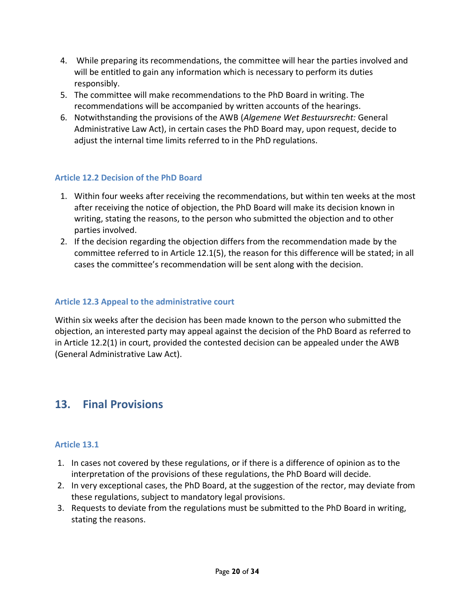- 4. While preparing its recommendations, the committee will hear the parties involved and will be entitled to gain any information which is necessary to perform its duties responsibly.
- 5. The committee will make recommendations to the PhD Board in writing. The recommendations will be accompanied by written accounts of the hearings.
- 6. Notwithstanding the provisions of the AWB (*Algemene Wet Bestuursrecht:* General Administrative Law Act), in certain cases the PhD Board may, upon request, decide to adjust the internal time limits referred to in the PhD regulations.

# **Article 12.2 Decision of the PhD Board**

- 1. Within four weeks after receiving the recommendations, but within ten weeks at the most after receiving the notice of objection, the PhD Board will make its decision known in writing, stating the reasons, to the person who submitted the objection and to other parties involved.
- 2. If the decision regarding the objection differs from the recommendation made by the committee referred to in Article 12.1(5), the reason for this difference will be stated; in all cases the committee's recommendation will be sent along with the decision.

#### **Article 12.3 Appeal to the administrative court**

Within six weeks after the decision has been made known to the person who submitted the objection, an interested party may appeal against the decision of the PhD Board as referred to in Article 12.2(1) in court, provided the contested decision can be appealed under the AWB (General Administrative Law Act).

# **13. Final Provisions**

#### **Article 13.1**

- 1. In cases not covered by these regulations, or if there is a difference of opinion as to the interpretation of the provisions of these regulations, the PhD Board will decide.
- 2. In very exceptional cases, the PhD Board, at the suggestion of the rector, may deviate from these regulations, subject to mandatory legal provisions.
- 3. Requests to deviate from the regulations must be submitted to the PhD Board in writing, stating the reasons.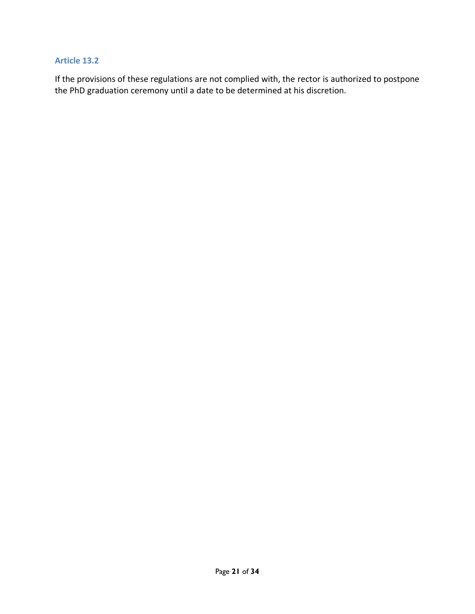#### **Article 13.2**

If the provisions of these regulations are not complied with, the rector is authorized to postpone the PhD graduation ceremony until a date to be determined at his discretion.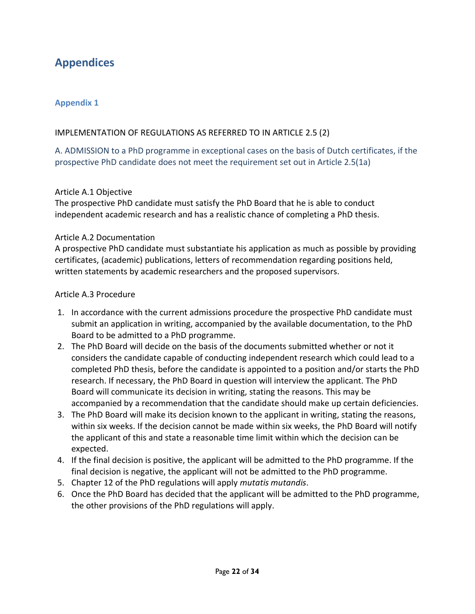# **Appendices**

# **Appendix 1**

#### IMPLEMENTATION OF REGULATIONS AS REFERRED TO IN ARTICLE 2.5 (2)

# A. ADMISSION to a PhD programme in exceptional cases on the basis of Dutch certificates, if the prospective PhD candidate does not meet the requirement set out in Article 2.5(1a)

#### Article A.1 Objective

The prospective PhD candidate must satisfy the PhD Board that he is able to conduct independent academic research and has a realistic chance of completing a PhD thesis.

#### Article A.2 Documentation

A prospective PhD candidate must substantiate his application as much as possible by providing certificates, (academic) publications, letters of recommendation regarding positions held, written statements by academic researchers and the proposed supervisors.

#### Article A.3 Procedure

- 1. In accordance with the current admissions procedure the prospective PhD candidate must submit an application in writing, accompanied by the available documentation, to the PhD Board to be admitted to a PhD programme.
- 2. The PhD Board will decide on the basis of the documents submitted whether or not it considers the candidate capable of conducting independent research which could lead to a completed PhD thesis, before the candidate is appointed to a position and/or starts the PhD research. If necessary, the PhD Board in question will interview the applicant. The PhD Board will communicate its decision in writing, stating the reasons. This may be accompanied by a recommendation that the candidate should make up certain deficiencies.
- 3. The PhD Board will make its decision known to the applicant in writing, stating the reasons, within six weeks. If the decision cannot be made within six weeks, the PhD Board will notify the applicant of this and state a reasonable time limit within which the decision can be expected.
- 4. If the final decision is positive, the applicant will be admitted to the PhD programme. If the final decision is negative, the applicant will not be admitted to the PhD programme.
- 5. Chapter 12 of the PhD regulations will apply *mutatis mutandis*.
- 6. Once the PhD Board has decided that the applicant will be admitted to the PhD programme, the other provisions of the PhD regulations will apply.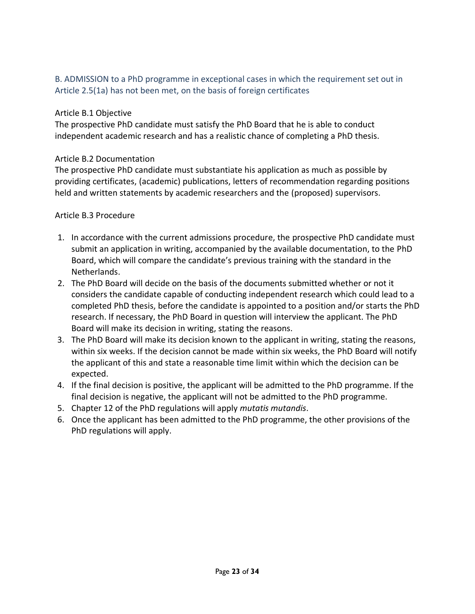# B. ADMISSION to a PhD programme in exceptional cases in which the requirement set out in Article 2.5(1a) has not been met, on the basis of foreign certificates

# Article B.1 Objective

The prospective PhD candidate must satisfy the PhD Board that he is able to conduct independent academic research and has a realistic chance of completing a PhD thesis.

#### Article B.2 Documentation

The prospective PhD candidate must substantiate his application as much as possible by providing certificates, (academic) publications, letters of recommendation regarding positions held and written statements by academic researchers and the (proposed) supervisors.

# Article B.3 Procedure

- 1. In accordance with the current admissions procedure, the prospective PhD candidate must submit an application in writing, accompanied by the available documentation, to the PhD Board, which will compare the candidate's previous training with the standard in the Netherlands.
- 2. The PhD Board will decide on the basis of the documents submitted whether or not it considers the candidate capable of conducting independent research which could lead to a completed PhD thesis, before the candidate is appointed to a position and/or starts the PhD research. If necessary, the PhD Board in question will interview the applicant. The PhD Board will make its decision in writing, stating the reasons.
- 3. The PhD Board will make its decision known to the applicant in writing, stating the reasons, within six weeks. If the decision cannot be made within six weeks, the PhD Board will notify the applicant of this and state a reasonable time limit within which the decision can be expected.
- 4. If the final decision is positive, the applicant will be admitted to the PhD programme. If the final decision is negative, the applicant will not be admitted to the PhD programme.
- 5. Chapter 12 of the PhD regulations will apply *mutatis mutandis*.
- 6. Once the applicant has been admitted to the PhD programme, the other provisions of the PhD regulations will apply.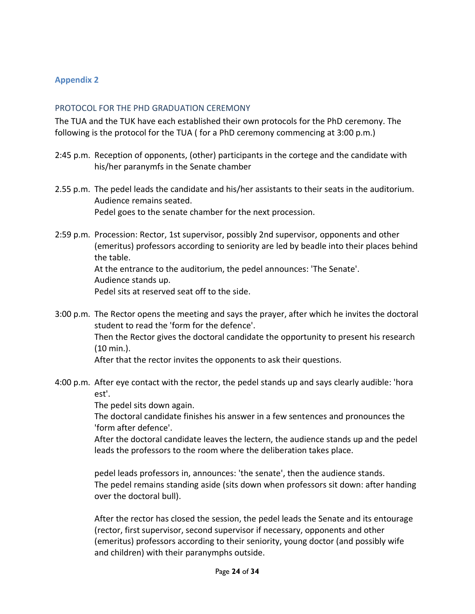#### **Appendix 2**

#### PROTOCOL FOR THE PHD GRADUATION CEREMONY

The TUA and the TUK have each established their own protocols for the PhD ceremony. The following is the protocol for the TUA ( for a PhD ceremony commencing at 3:00 p.m.)

- 2:45 p.m. Reception of opponents, (other) participants in the cortege and the candidate with his/her paranymfs in the Senate chamber
- 2.55 p.m. The pedel leads the candidate and his/her assistants to their seats in the auditorium. Audience remains seated. Pedel goes to the senate chamber for the next procession.
- 2:59 p.m. Procession: Rector, 1st supervisor, possibly 2nd supervisor, opponents and other (emeritus) professors according to seniority are led by beadle into their places behind the table. At the entrance to the auditorium, the pedel announces: 'The Senate'.

Audience stands up.

Pedel sits at reserved seat off to the side.

3:00 p.m. The Rector opens the meeting and says the prayer, after which he invites the doctoral student to read the 'form for the defence'. Then the Rector gives the doctoral candidate the opportunity to present his research (10 min.).

After that the rector invites the opponents to ask their questions.

4:00 p.m. After eye contact with the rector, the pedel stands up and says clearly audible: 'hora est'.

The pedel sits down again.

The doctoral candidate finishes his answer in a few sentences and pronounces the 'form after defence'.

After the doctoral candidate leaves the lectern, the audience stands up and the pedel leads the professors to the room where the deliberation takes place.

pedel leads professors in, announces: 'the senate', then the audience stands. The pedel remains standing aside (sits down when professors sit down: after handing over the doctoral bull).

After the rector has closed the session, the pedel leads the Senate and its entourage (rector, first supervisor, second supervisor if necessary, opponents and other (emeritus) professors according to their seniority, young doctor (and possibly wife and children) with their paranymphs outside.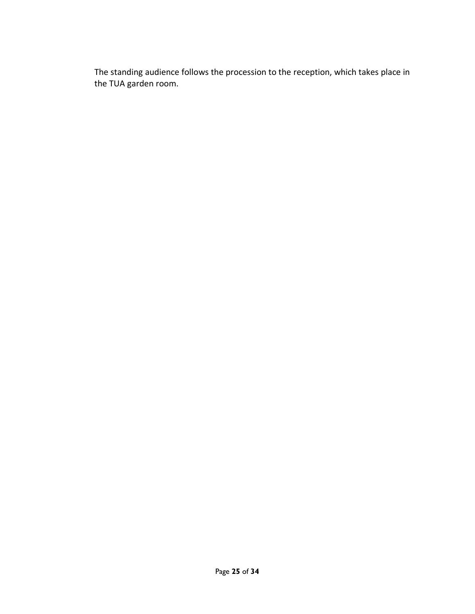The standing audience follows the procession to the reception, which takes place in the TUA garden room.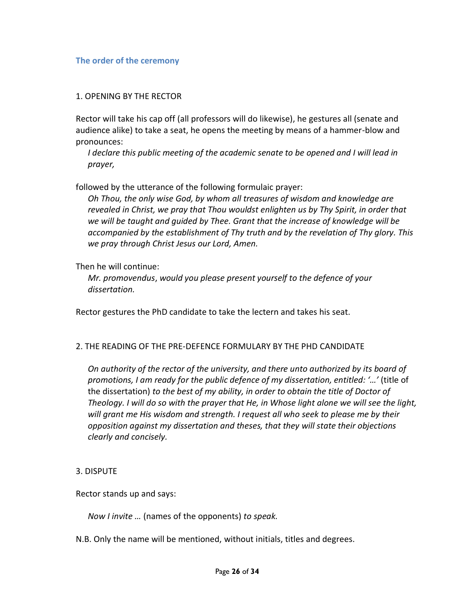#### **The order of the ceremony**

#### 1. OPENING BY THE RECTOR

Rector will take his cap off (all professors will do likewise), he gestures all (senate and audience alike) to take a seat, he opens the meeting by means of a hammer-blow and pronounces:

*I declare this public meeting of the academic senate to be opened and I will lead in prayer,* 

followed by the utterance of the following formulaic prayer:

*Oh Thou, the only wise God, by whom all treasures of wisdom and knowledge are revealed in Christ, we pray that Thou wouldst enlighten us by Thy Spirit, in order that we will be taught and guided by Thee. Grant that the increase of knowledge will be accompanied by the establishment of Thy truth and by the revelation of Thy glory. This we pray through Christ Jesus our Lord, Amen.*

#### Then he will continue:

*Mr. promovendus*, *would you please present yourself to the defence of your dissertation.* 

Rector gestures the PhD candidate to take the lectern and takes his seat.

#### 2. THE READING OF THE PRE-DEFENCE FORMULARY BY THE PHD CANDIDATE

*On authority of the rector of the university, and there unto authorized by its board of promotions, I am ready for the public defence of my dissertation, entitled: '…'* (title of the dissertation) *to the best of my ability, in order to obtain the title of Doctor of Theology. I will do so with the prayer that He, in Whose light alone we will see the light, will grant me His wisdom and strength. I request all who seek to please me by their opposition against my dissertation and theses, that they will state their objections clearly and concisely.* 

#### 3. DISPUTE

Rector stands up and says:

*Now I invite …* (names of the opponents) *to speak.* 

N.B. Only the name will be mentioned, without initials, titles and degrees.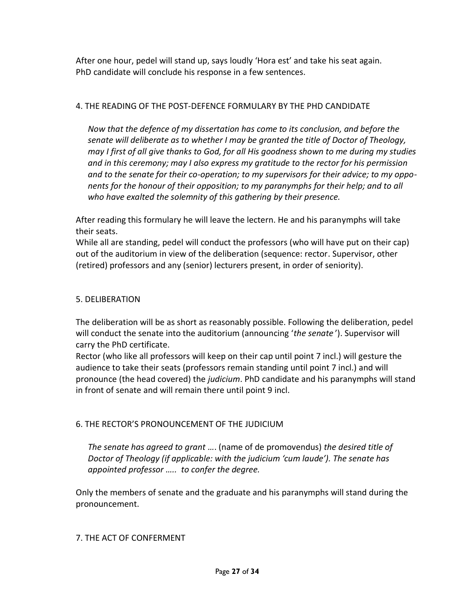After one hour, pedel will stand up, says loudly 'Hora est' and take his seat again. PhD candidate will conclude his response in a few sentences.

# 4. THE READING OF THE POST-DEFENCE FORMULARY BY THE PHD CANDIDATE

*Now that the defence of my dissertation has come to its conclusion, and before the senate will deliberate as to whether I may be granted the title of Doctor of Theology, may I first of all give thanks to God, for all His goodness shown to me during my studies and in this ceremony; may I also express my gratitude to the rector for his permission and to the senate for their co-operation; to my supervisors for their advice; to my opponents for the honour of their opposition; to my paranymphs for their help; and to all who have exalted the solemnity of this gathering by their presence.* 

After reading this formulary he will leave the lectern. He and his paranymphs will take their seats.

While all are standing, pedel will conduct the professors (who will have put on their cap) out of the auditorium in view of the deliberation (sequence: rector. Supervisor, other (retired) professors and any (senior) lecturers present, in order of seniority).

# 5. DELIBERATION

The deliberation will be as short as reasonably possible. Following the deliberation, pedel will conduct the senate into the auditorium (announcing '*the senate* '). Supervisor will carry the PhD certificate.

Rector (who like all professors will keep on their cap until point 7 incl.) will gesture the audience to take their seats (professors remain standing until point 7 incl.) and will pronounce (the head covered) the *judicium*. PhD candidate and his paranymphs will stand in front of senate and will remain there until point 9 incl.

# 6. THE RECTOR'S PRONOUNCEMENT OF THE JUDICIUM

*The senate has agreed to grant …*. (name of de promovendus) *the desired title of Doctor of Theology (if applicable: with the judicium 'cum laude'). The senate has appointed professor ….. to confer the degree.*

Only the members of senate and the graduate and his paranymphs will stand during the pronouncement.

# 7. THE ACT OF CONFERMENT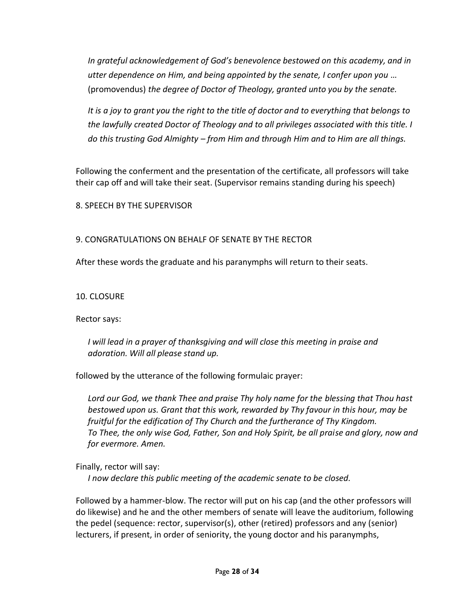*In grateful acknowledgement of God's benevolence bestowed on this academy, and in utter dependence on Him, and being appointed by the senate, I confer upon you …*  (promovendus) *the degree of Doctor of Theology, granted unto you by the senate.* 

*It is a joy to grant you the right to the title of doctor and to everything that belongs to the lawfully created Doctor of Theology and to all privileges associated with this title. I do this trusting God Almighty – from Him and through Him and to Him are all things.* 

Following the conferment and the presentation of the certificate, all professors will take their cap off and will take their seat. (Supervisor remains standing during his speech)

8. SPEECH BY THE SUPERVISOR

#### 9. CONGRATULATIONS ON BEHALF OF SENATE BY THE RECTOR

After these words the graduate and his paranymphs will return to their seats.

10. CLOSURE

Rector says:

*I* will lead in a prayer of thanksgiving and will close this meeting in praise and *adoration. Will all please stand up.* 

followed by the utterance of the following formulaic prayer:

*Lord our God, we thank Thee and praise Thy holy name for the blessing that Thou hast bestowed upon us. Grant that this work, rewarded by Thy favour in this hour, may be fruitful for the edification of Thy Church and the furtherance of Thy Kingdom. To Thee, the only wise God, Father, Son and Holy Spirit, be all praise and glory, now and for evermore. Amen.* 

Finally, rector will say:

*I now declare this public meeting of the academic senate to be closed.* 

Followed by a hammer-blow. The rector will put on his cap (and the other professors will do likewise) and he and the other members of senate will leave the auditorium, following the pedel (sequence: rector, supervisor(s), other (retired) professors and any (senior) lecturers, if present, in order of seniority, the young doctor and his paranymphs,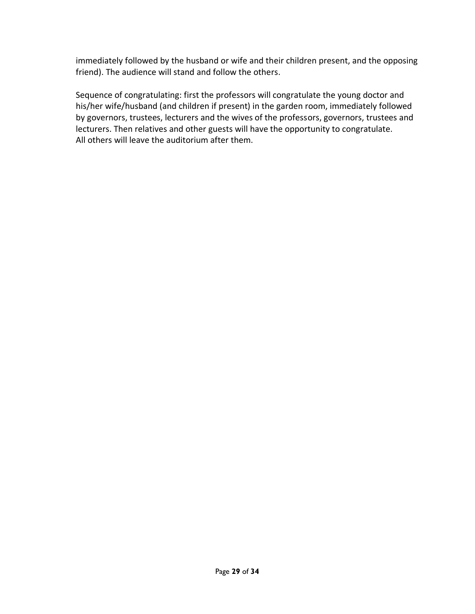immediately followed by the husband or wife and their children present, and the opposing friend). The audience will stand and follow the others.

Sequence of congratulating: first the professors will congratulate the young doctor and his/her wife/husband (and children if present) in the garden room, immediately followed by governors, trustees, lecturers and the wives of the professors, governors, trustees and lecturers. Then relatives and other guests will have the opportunity to congratulate. All others will leave the auditorium after them.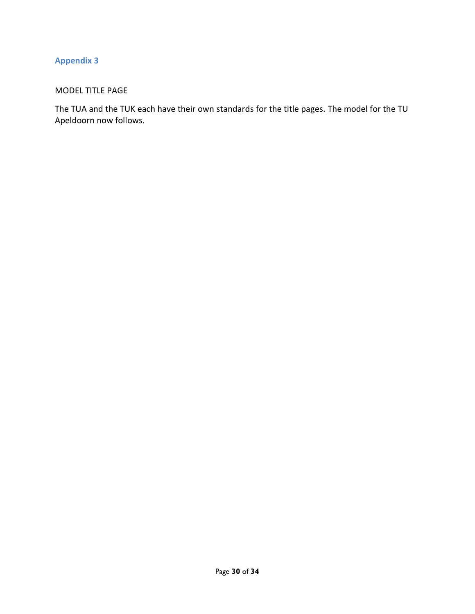# **Appendix 3**

# MODEL TITLE PAGE

The TUA and the TUK each have their own standards for the title pages. The model for the TU Apeldoorn now follows.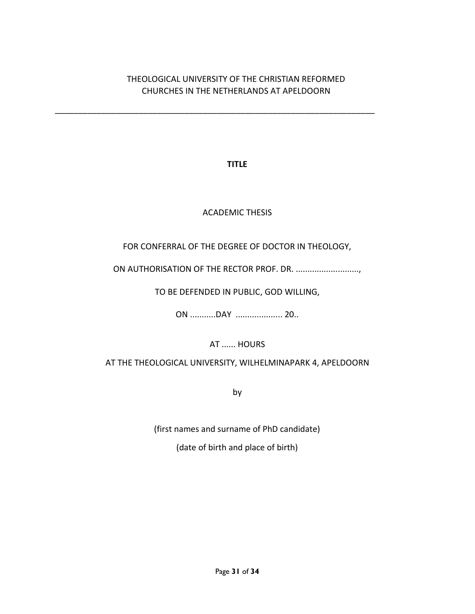# THEOLOGICAL UNIVERSITY OF THE CHRISTIAN REFORMED CHURCHES IN THE NETHERLANDS AT APELDOORN

\_\_\_\_\_\_\_\_\_\_\_\_\_\_\_\_\_\_\_\_\_\_\_\_\_\_\_\_\_\_\_\_\_\_\_\_\_\_\_\_\_\_\_\_\_\_\_\_\_\_\_\_\_\_\_\_\_\_\_\_\_\_\_\_\_\_\_\_\_

**TITLE**

# ACADEMIC THESIS

# FOR CONFERRAL OF THE DEGREE OF DOCTOR IN THEOLOGY,

ON AUTHORISATION OF THE RECTOR PROF. DR. ...........................,

# TO BE DEFENDED IN PUBLIC, GOD WILLING,

ON ...........DAY .................... 20..

AT ...... HOURS

AT THE THEOLOGICAL UNIVERSITY, WILHELMINAPARK 4, APELDOORN

by

(first names and surname of PhD candidate)

(date of birth and place of birth)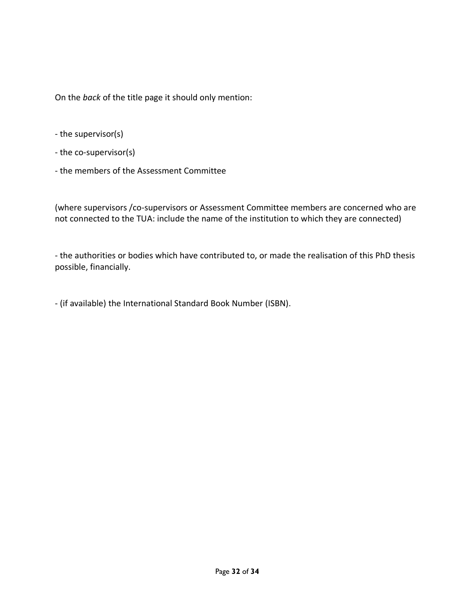On the *back* of the title page it should only mention:

- the supervisor(s)
- the co-supervisor(s)
- the members of the Assessment Committee

(where supervisors /co-supervisors or Assessment Committee members are concerned who are not connected to the TUA: include the name of the institution to which they are connected)

- the authorities or bodies which have contributed to, or made the realisation of this PhD thesis possible, financially.

- (if available) the International Standard Book Number (ISBN).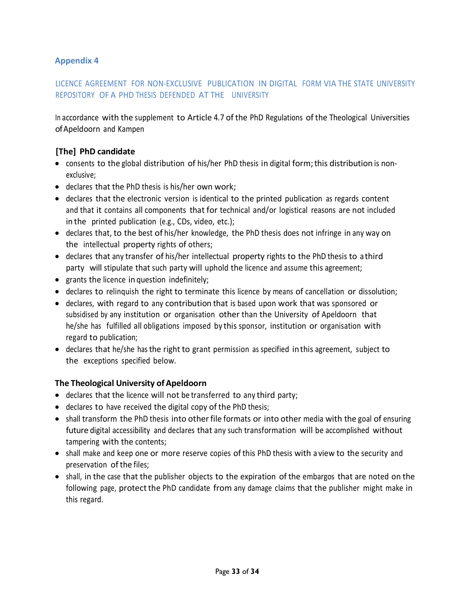# **Appendix 4**

## LICENCE AGREEMENT FOR NON-EXCLUSIVE PUBLICATION IN DIGITAL FORM VIA THE STATE UNIVERSITY REPOSITORY OF A PHD THESIS DEFENDED AT THE UNIVERSITY

In accordance with the supplement to Article 4.7 of the PhD Regulations of the Theological Universities ofApeldoorn and Kampen

## **[The] PhD candidate**

- consents to the global distribution of his/her PhD thesis in digital form; this distribution is nonexclusive;
- declares that the PhD thesis is his/her own work;
- declares that the electronic version is identical to the printed publication as regards content and that it contains all components that for technical and/or logistical reasons are not included in the printed publication (e.g., CDs, video, etc.);
- declares that, to the best of his/her knowledge, the PhD thesis does not infringe in any way on the intellectual property rights of others;
- declares that any transfer of his/her intellectual property rights to the PhD thesis to athird party will stipulate that such party will uphold the licence and assume this agreement;
- grants the licence in question indefinitely;
- declares to relinquish the right to terminate this licence by means of cancellation or dissolution;
- declares, with regard to any contribution that is based upon work that was sponsored or subsidised by any institution or organisation other than the University of Apeldoorn that he/she has fulfilled all obligations imposed by this sponsor, institution or organisation with regard to publication;
- declares that he/she has the right to grant permission as specified inthis agreement, subject to the exceptions specified below.

#### **The Theological University of Apeldoorn**

- declares that the licence will not be transferred to any third party;
- declares to have received the digital copy of the PhD thesis;
- shall transform the PhD thesis into other file formats or into other media with the goal of ensuring future digital accessibility and declares that any such transformation will be accomplished without tampering with the contents;
- shall make and keep one or more reserve copies ofthis PhD thesis with a view to the security and preservation of the files;
- shall, in the case that the publisher objects to the expiration of the embargos that are noted on the following page, protectthe PhD candidate from any damage claims that the publisher might make in this regard.